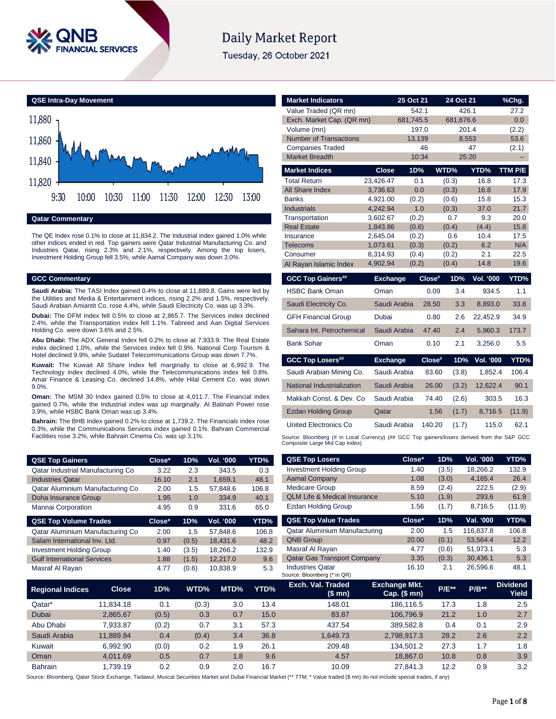

# **Daily Market Report**

Tuesday, 26 October 2021



**Qatar Commentary**

The QE Index rose 0.1% to close at 11,834.2. The Industrial index gained 1.0% while other indices ended in red. Top gainers were Qatar Industrial Manufacturing Co. and Industries Qatar, rising 2.3% and 2.1%, respectively. Among the top losers, Investment Holding Group fell 3.5%, while Aamal Company was down 3.0%.

### **GCC Commentary**

**Saudi Arabia:** The TASI Index gained 0.4% to close at 11,889.8. Gains were led by the Utilities and Media & Entertainment indices, rising 2.2% and 1.5%, respectively. Saudi Arabian Amiantit Co. rose 4.4%, while Saudi Electricity Co. was up 3.3%.

**Dubai:** The DFM Index fell 0.5% to close at 2,865.7. The Services index declined 2.4%, while the Transportation index fell 1.1%. Tabreed and Aan Digital Services Holding Co. were down 3.6% and 2.5%.

**Abu Dhabi:** The ADX General Index fell 0.2% to close at 7,933.9. The Real Estate index declined 1.0%, while the Services index fell 0.9%. National Corp Tourism & Hotel declined 9.9%, while Sudatel Telecommunications Group was down 7.7%.

**Kuwait:** The Kuwait All Share Index fell marginally to close at 6,992.9. The Technology index declined 4.0%, while the Telecommunications index fell 0.8%. Amar Finance & Leasing Co. declined 14.8%, while Hilal Cement Co. was down 9.0%.

**Oman:** The MSM 30 Index gained 0.5% to close at 4,011.7. The Financial index gained 0.7%, while the Industrial index was up marginally. Al Batinah Power rose 3.9%, while HSBC Bank Oman was up 3.4%.

**Bahrain:** The BHB Index gained 0.2% to close at 1,739.2. The Financials index rose 0.3%, while the Communications Services index gained 0.1%. Bahrain Commercial Facilities rose 3.2%, while Bahrain Cinema Co. was up 3.1%.

| <b>QSE Top Gainers</b>             | Close* | 1D%   | Vol. '000        | YTD%  |
|------------------------------------|--------|-------|------------------|-------|
| Qatar Industrial Manufacturing Co  | 3.22   | 2.3   | 343.5            | 0.3   |
| <b>Industries Qatar</b>            | 16.10  | 2.1   | 1,659.1          | 48.1  |
| Qatar Aluminium Manufacturing Co   | 2.00   | 1.5   | 57,848.6         | 106.8 |
| Doha Insurance Group               | 1.95   | 1.0   | 334.9            | 40.1  |
| Mannai Corporation                 | 4.95   | 0.9   | 331.6            | 65.0  |
|                                    |        |       |                  |       |
| <b>QSE Top Volume Trades</b>       | Close* | 1D%   | <b>Vol. '000</b> | YTD%  |
| Qatar Aluminium Manufacturing Co   | 2.00   | 1.5   | 57.848.6         | 106.8 |
| Salam International Inv. Ltd.      | 0.97   | (0.5) | 18,431.6         | 48.2  |
| <b>Investment Holding Group</b>    | 1.40   | (3.5) | 18,266.2         | 132.9 |
| <b>Gulf International Services</b> | 1.88   | (1.5) | 12,217.0         | 9.6   |

| <b>Market Indicators</b>             |                      | 25 Oct 21      |              | 24 Oct 21 |                  | <u>%Chg.</u> |
|--------------------------------------|----------------------|----------------|--------------|-----------|------------------|--------------|
| Value Traded (QR mn)                 |                      | 542.1          |              | 426.1     |                  | 27.2         |
| Exch. Market Cap. (QR mn)            |                      | 681,745.5      |              | 681,676.6 |                  | 0.0          |
| Volume (mn)                          |                      | 197.0          |              | 201.4     |                  | (2.2)        |
| <b>Number of Transactions</b>        |                      | 13,139         |              | 8,553     |                  | 53.6         |
| <b>Companies Traded</b>              |                      | 46             |              | 47        |                  | (2.1)        |
| <b>Market Breadth</b>                |                      | 10:34          |              | 25:20     |                  |              |
| <b>Market Indices</b>                | <b>Close</b>         | 1D%            | WTD%         |           | YTD%             | TTM P/E      |
| <b>Total Return</b>                  | 23,426.47            | 0.1            | (0.3)        |           | 16.8             | 17.3         |
| All Share Index                      | 3,736.63             | 0.0            | (0.3)        |           | 16.8             | 17.9         |
| <b>Banks</b>                         | 4,921.00             | (0.2)          | (0.6)        |           | 15.8             | 15.3         |
| <b>Industrials</b>                   | 4,242.94             | 1.0            | (0.3)        |           | 37.0             | 21.7         |
| Transportation<br><b>Real Estate</b> | 3,602.67             | (0.2)          | 0.7          |           | 9.3              | 20.0<br>15.8 |
|                                      | 1,843.86             | (0.6)          | (0.4)<br>0.6 |           | (4.4)<br>10.4    | 17.5         |
| Insurance<br><b>Telecoms</b>         | 2,645.04<br>1,073.61 | (0.2)<br>(0.3) | (0.2)        |           | 6.2              | N/A          |
| Consumer                             | 8,314.93             | (0.4)          | (0.2)        |           | 2.1              | 22.5         |
| Al Rayan Islamic Index               | 4,902.94             | (0.2)          | (0.4)        |           | 14.8             | 19.6         |
| <b>GCC Top Gainers##</b>             | <b>Exchange</b>      |                | Close#       | 1D%       | <b>Vol. '000</b> | YTD%         |
| <b>HSBC Bank Oman</b>                | Oman                 |                | 0.09         | 3.4       | 934.5            | 1.1          |
| Saudi Electricity Co.                | Saudi Arabia         |                | 28.50        | 3.3       | 8.893.0          | 33.8         |
|                                      |                      |                |              |           |                  |              |
| <b>GFH Financial Group</b>           | Dubai                |                | 0.80         | 2.6       | 22.452.9         | 34.9         |
| Sahara Int. Petrochemical            | Saudi Arabia         |                | 47.40        | 2.4       | 5,960.3          | 173.7        |
| <b>Bank Sohar</b>                    | Oman                 |                | 0.10         | 2.1       | 3,256.0          | 5.5          |
| <b>GCC Top Losers##</b>              | <b>Exchange</b>      |                | Close#       | 1D%       | <b>Vol. '000</b> |              |
| Saudi Arabian Mining Co.             | Saudi Arabia         |                | 83.60        | (3.8)     | 1,852.4          | 106.4        |
| National Industrialization           | Saudi Arabia         |                | 26.00        | (3.2)     | 12,622.4         | 90.1         |
| Makkah Const, & Dev. Co.             | Saudi Arabia         |                | 74.40        | (2.6)     | 303.5            | 16.3         |
| <b>Ezdan Holding Group</b>           | Qatar                |                | 1.56         | (1.7)     | 8,716.5          | (11.9)       |
| United Electronics Co.               | Saudi Arabia         |                | 140.20       | (1.7)     | 115.0            | YTD%<br>62.1 |

| <b>QSE Top Gainers</b>             |              | Close* | 1D%   | Vol. '000 |      | YTD%  | <b>QSE Top Losers</b>                                  | Close*                                 | 1D%          | Vol. '000 | YTD%                            |
|------------------------------------|--------------|--------|-------|-----------|------|-------|--------------------------------------------------------|----------------------------------------|--------------|-----------|---------------------------------|
| Qatar Industrial Manufacturing Co  |              | 3.22   | 2.3   | 343.5     |      | 0.3   | <b>Investment Holding Group</b>                        | 1.40                                   | (3.5)        | 18,266.2  | 132.9                           |
| <b>Industries Qatar</b>            |              | 16.10  | 2.1   | 1,659.1   |      | 48.1  | <b>Aamal Company</b>                                   | 1.08                                   | (3.0)        | 4,165.4   | 26.4                            |
| Qatar Aluminium Manufacturing Co   |              | 2.00   | 1.5   | 57,848.6  |      | 106.8 | <b>Medicare Group</b>                                  | 8.59                                   | (2.4)        | 222.5     | (2.9)                           |
| Doha Insurance Group               |              | 1.95   | 1.0   | 334.9     |      | 40.1  | <b>QLM Life &amp; Medical Insurance</b>                | 5.10                                   | (1.9)        | 293.6     | 61.9                            |
| Mannai Corporation                 |              | 4.95   | 0.9   | 331.6     |      | 65.0  | Ezdan Holding Group                                    | 1.56                                   | (1.7)        | 8,716.5   | (11.9)                          |
| <b>QSE Top Volume Trades</b>       |              | Close* | 1D%   | Vol. '000 |      | YTD%  | <b>QSE Top Value Trades</b>                            | Close*                                 | 1D%          | Val. '000 | YTD%                            |
| Qatar Aluminium Manufacturing Co   |              | 2.00   | 1.5   | 57,848.6  |      | 106.8 | Qatar Aluminium Manufacturing                          | 2.00                                   | 1.5          | 116,837.8 | 106.8                           |
| Salam International Inv. Ltd.      |              | 0.97   | (0.5) | 18,431.6  |      | 48.2  | <b>QNB Group</b>                                       | 20.00                                  | (0.1)        | 53,564.4  | 12.2                            |
| <b>Investment Holding Group</b>    |              | 1.40   | (3.5) | 18,266.2  |      | 132.9 | Masraf Al Rayan                                        | 4.77                                   | (0.6)        | 51,973.1  | 5.3                             |
| <b>Gulf International Services</b> |              | 1.88   | (1.5) | 12,217.0  |      | 9.6   | <b>Qatar Gas Transport Company</b>                     | 3.35                                   | (0.3)        | 30,436.1  | 5.3                             |
| Masraf Al Rayan                    |              | 4.77   | (0.6) | 10,838.9  |      | 5.3   | <b>Industries Qatar</b><br>Source: Bloomberg (* in QR) | 16.10                                  | 2.1          | 26,596.6  | 48.1                            |
| <b>Regional Indices</b>            | <b>Close</b> | 1D%    | WTD%  |           | MTD% | YTD%  | Exch. Val. Traded<br>(\$ mn)                           | <b>Exchange Mkt.</b><br>$Cap.$ (\$ mn) | <b>P/E**</b> | $P/B**$   | <b>Dividend</b><br><b>Yield</b> |
| Qatar*                             | 11,834.18    | 0.1    | (0.3) |           | 3.0  | 13.4  | 148.01                                                 | 186,116.5                              | 17.3         | 1.8       | 2.5                             |
| Dubai                              | 2,865.67     | (0.5)  |       | 0.3       | 0.7  | 15.0  | 83.87                                                  | 106,796.9                              | 21.2         | 1.0       | 2.7                             |
| Abu Dhabi                          | 7,933.87     | (0.2)  |       | 0.7       | 3.1  | 57.3  | 437.54                                                 | 389,582.8                              | 0.4          | 0.1       | 2.9                             |
| Saudi Arabia                       | 11,889.84    | 0.4    | (0.4) |           | 3.4  | 36.8  | 1,649.73                                               | 2,798,917.3                            | 28.2         | 2.6       | 2.2                             |
| Kuwait                             | 6,992.90     | (0.0)  |       | 0.2       | 1.9  | 26.1  | 209.48                                                 | 134,501.2                              | 27.3         | 1.7       | 1.8                             |
| Oman                               | 4,011.69     | 0.5    |       | 0.7       | 1.8  | 9.6   | 4.57                                                   | 18,867.0                               | 10.8         | 0.8       | 3.9                             |
| Bahrain                            | 1,739.19     | 0.2    |       | 0.9       | 2.0  | 16.7  | 10.09                                                  | 27,841.3                               | 12.2         | 0.9       | 3.2                             |

Source: Bloomberg, Qatar Stock Exchange, Tadawul, Muscat Securities Market and Dubai Financial Market (\*\* TTM; \* Value traded (\$ mn) do not include special trades, if any)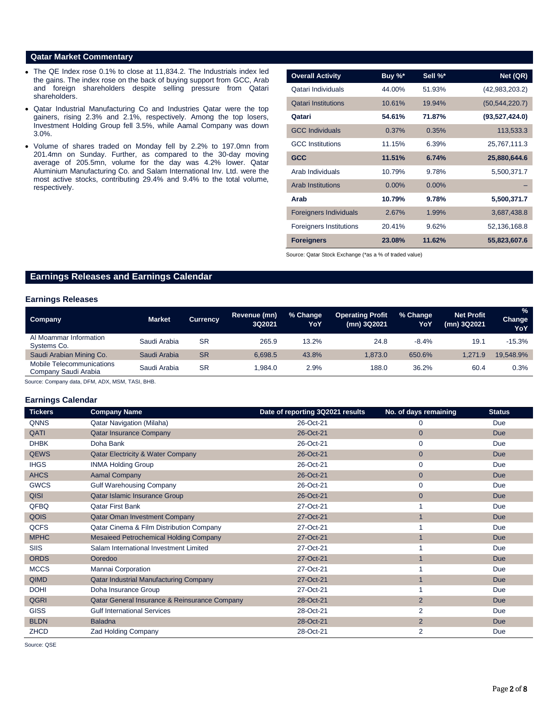#### **Qatar Market Commentary**

- The QE Index rose 0.1% to close at 11,834.2. The Industrials index led the gains. The index rose on the back of buying support from GCC, Arab and foreign shareholders despite selling pressure from Qatari shareholders.
- Qatar Industrial Manufacturing Co and Industries Qatar were the top gainers, rising 2.3% and 2.1%, respectively. Among the top losers, Investment Holding Group fell 3.5%, while Aamal Company was down 3.0%.
- Volume of shares traded on Monday fell by 2.2% to 197.0mn from 201.4mn on Sunday. Further, as compared to the 30-day moving average of 205.5mn, volume for the day was 4.2% lower. Qatar Aluminium Manufacturing Co. and Salam International Inv. Ltd. were the most active stocks, contributing 29.4% and 9.4% to the total volume, respectively.

| <b>Overall Activity</b>        | Buy %* | Sell %* | Net (QR)         |
|--------------------------------|--------|---------|------------------|
| Qatari Individuals             | 44.00% | 51.93%  | (42,983,203.2)   |
| <b>Qatari Institutions</b>     | 10.61% | 19.94%  | (50, 544, 220.7) |
| Qatari                         | 54.61% | 71.87%  | (93,527,424.0)   |
| <b>GCC Individuals</b>         | 0.37%  | 0.35%   | 113,533.3        |
| <b>GCC</b> Institutions        | 11.15% | 6.39%   | 25,767,111.3     |
| <b>GCC</b>                     | 11.51% | 6.74%   | 25,880,644.6     |
| Arab Individuals               | 10.79% | 9.78%   | 5.500.371.7      |
| <b>Arab Institutions</b>       | 0.00%  | 0.00%   |                  |
| Arab                           | 10.79% | 9.78%   | 5,500,371.7      |
| <b>Foreigners Individuals</b>  | 2.67%  | 1.99%   | 3,687,438.8      |
| <b>Foreigners Institutions</b> | 20.41% | 9.62%   | 52,136,168.8     |
| <b>Foreigners</b>              | 23.08% | 11.62%  | 55,823,607.6     |

Source: Qatar Stock Exchange (\*as a % of traded value)

# **Earnings Releases and Earnings Calendar**

## **Earnings Releases**

| Company                                           | <b>Market</b> | <b>Currency</b> | Revenue (mn)<br>3Q2021 | % Change<br>YoY | <b>Operating Profit</b><br>(mn) 3Q2021 | % Change<br>YoY | <b>Net Profit</b><br>(mn) 3Q2021 | $\%$<br>Change<br>YoY |
|---------------------------------------------------|---------------|-----------------|------------------------|-----------------|----------------------------------------|-----------------|----------------------------------|-----------------------|
| Al Moammar Information<br>Systems Co.             | Saudi Arabia  | <b>SR</b>       | 265.9                  | 13.2%           | 24.8                                   | $-8.4%$         | 19.1                             | $-15.3%$              |
| Saudi Arabian Mining Co.                          | Saudi Arabia  | <b>SR</b>       | 6.698.5                | 43.8%           | 1.873.0                                | 650.6%          | 1.271.9                          | 19.548.9%             |
| Mobile Telecommunications<br>Company Saudi Arabia | Saudi Arabia  | SR              | .984.0                 | 2.9%            | 188.0                                  | 36.2%           | 60.4                             | 0.3%                  |

Source: Company data, DFM, ADX, MSM, TASI, BHB.

#### **Earnings Calendar**

| <b>Tickers</b> | <b>Company Name</b>                           | Date of reporting 3Q2021 results | No. of days remaining | <b>Status</b> |
|----------------|-----------------------------------------------|----------------------------------|-----------------------|---------------|
| <b>QNNS</b>    | <b>Qatar Navigation (Milaha)</b>              | 26-Oct-21                        | 0                     | Due           |
| QATI           | <b>Qatar Insurance Company</b>                | 26-Oct-21                        | $\overline{0}$        | Due           |
| <b>DHBK</b>    | Doha Bank                                     | 26-Oct-21                        | 0                     | Due           |
| <b>QEWS</b>    | <b>Qatar Electricity &amp; Water Company</b>  | 26-Oct-21                        | $\overline{0}$        | Due           |
| <b>IHGS</b>    | <b>INMA Holding Group</b>                     | 26-Oct-21                        | 0                     | Due           |
| <b>AHCS</b>    | <b>Aamal Company</b>                          | 26-Oct-21                        | $\overline{0}$        | Due           |
| <b>GWCS</b>    | <b>Gulf Warehousing Company</b>               | 26-Oct-21                        | 0                     | Due           |
| <b>QISI</b>    | Qatar Islamic Insurance Group                 | 26-Oct-21                        | 0                     | Due           |
| QFBQ           | <b>Qatar First Bank</b>                       | 27-Oct-21                        |                       | Due           |
| QOIS           | <b>Qatar Oman Investment Company</b>          | 27-Oct-21                        | $\mathbf{1}$          | Due           |
| <b>QCFS</b>    | Qatar Cinema & Film Distribution Company      | 27-Oct-21                        |                       | Due           |
| <b>MPHC</b>    | Mesaieed Petrochemical Holding Company        | 27-Oct-21                        | $\overline{1}$        | Due           |
| SIIS           | Salam International Investment Limited        | 27-Oct-21                        |                       | Due           |
| <b>ORDS</b>    | Ooredoo                                       | 27-Oct-21                        |                       | Due           |
| <b>MCCS</b>    | Mannai Corporation                            | 27-Oct-21                        |                       | Due           |
| <b>QIMD</b>    | <b>Qatar Industrial Manufacturing Company</b> | 27-Oct-21                        | $\mathbf{1}$          | Due           |
| <b>DOHI</b>    | Doha Insurance Group                          | 27-Oct-21                        |                       | Due           |
| <b>QGRI</b>    | Qatar General Insurance & Reinsurance Company | 28-Oct-21                        | $\overline{2}$        | Due           |
| <b>GISS</b>    | <b>Gulf International Services</b>            | 28-Oct-21                        | $\overline{2}$        | Due           |
| <b>BLDN</b>    | <b>Baladna</b>                                | 28-Oct-21                        | $\overline{2}$        | Due           |
| <b>ZHCD</b>    | <b>Zad Holding Company</b>                    | 28-Oct-21                        | 2                     | Due           |

Source: QSE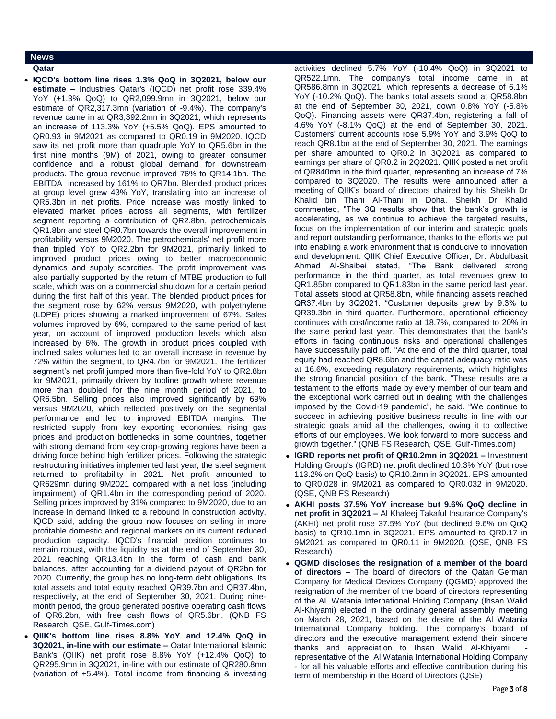### **News**

**Qatar** 

- **IQCD's bottom line rises 1.3% QoQ in 3Q2021, below our estimate –** Industries Qatar's (IQCD) net profit rose 339.4% YoY (+1.3% QoQ) to QR2,099.9mn in 3Q2021, below our estimate of QR2,317.3mn (variation of -9.4%). The company's revenue came in at QR3,392.2mn in 3Q2021, which represents an increase of 113.3% YoY (+5.5% QoQ). EPS amounted to QR0.93 in 9M2021 as compared to QR0.19 in 9M2020. IQCD saw its net profit more than quadruple YoY to QR5.6bn in the first nine months (9M) of 2021, owing to greater consumer confidence and a robust global demand for downstream products. The group revenue improved 76% to QR14.1bn. The EBITDA increased by 161% to QR7bn. Blended product prices at group level grew 43% YoY, translating into an increase of QR5.3bn in net profits. Price increase was mostly linked to elevated market prices across all segments, with fertilizer segment reporting a contribution of QR2.8bn, petrochemicals QR1.8bn and steel QR0.7bn towards the overall improvement in profitability versus 9M2020. The petrochemicals' net profit more than tripled YoY to QR2.2bn for 9M2021, primarily linked to improved product prices owing to better macroeconomic dynamics and supply scarcities. The profit improvement was also partially supported by the return of MTBE production to full scale, which was on a commercial shutdown for a certain period during the first half of this year. The blended product prices for the segment rose by 62% versus 9M2020, with polyethylene (LDPE) prices showing a marked improvement of 67%. Sales volumes improved by 6%, compared to the same period of last year, on account of improved production levels which also increased by 6%. The growth in product prices coupled with inclined sales volumes led to an overall increase in revenue by 72% within the segment, to QR4.7bn for 9M2021. The fertilizer segment's net profit jumped more than five-fold YoY to QR2.8bn for 9M2021, primarily driven by topline growth where revenue more than doubled for the nine month period of 2021, to QR6.5bn. Selling prices also improved significantly by 69% versus 9M2020, which reflected positively on the segmental performance and led to improved EBITDA margins. The restricted supply from key exporting economies, rising gas prices and production bottlenecks in some countries, together with strong demand from key crop-growing regions have been a driving force behind high fertilizer prices. Following the strategic restructuring initiatives implemented last year, the steel segment returned to profitability in 2021. Net profit amounted to QR629mn during 9M2021 compared with a net loss (including impairment) of QR1.4bn in the corresponding period of 2020. Selling prices improved by 31% compared to 9M2020, due to an increase in demand linked to a rebound in construction activity, IQCD said, adding the group now focuses on selling in more profitable domestic and regional markets on its current reduced production capacity. IQCD's financial position continues to remain robust, with the liquidity as at the end of September 30, 2021 reaching QR13.4bn in the form of cash and bank balances, after accounting for a dividend payout of QR2bn for 2020. Currently, the group has no long-term debt obligations. Its total assets and total equity reached QR39.7bn and QR37.4bn, respectively, at the end of September 30, 2021. During ninemonth period, the group generated positive operating cash flows of QR6.2bn, with free cash flows of QR5.6bn. (QNB FS Research, QSE, Gulf-Times.com)
- **QIIK's bottom line rises 8.8% YoY and 12.4% QoQ in 3Q2021, in-line with our estimate –** Qatar International Islamic Bank's (QIIK) net profit rose 8.8% YoY (+12.4% QoQ) to QR295.9mn in 3Q2021, in-line with our estimate of QR280.8mn (variation of +5.4%). Total income from financing & investing

activities declined 5.7% YoY (-10.4% QoQ) in 3Q2021 to QR522.1mn. The company's total income came in at QR586.8mn in 3Q2021, which represents a decrease of 6.1% YoY (-10.2% QoQ). The bank's total assets stood at QR58.8bn at the end of September 30, 2021, down 0.8% YoY (-5.8% QoQ). Financing assets were QR37.4bn, registering a fall of 4.6% YoY (-8.1% QoQ) at the end of September 30, 2021. Customers' current accounts rose 5.9% YoY and 3.9% QoQ to reach QR8.1bn at the end of September 30, 2021. The earnings per share amounted to QR0.2 in 3Q2021 as compared to earnings per share of QR0.2 in 2Q2021. QIIK posted a net profit of QR840mn in the third quarter, representing an increase of 7% compared to 3Q2020. The results were announced after a meeting of QIIK's board of directors chaired by his Sheikh Dr Khalid bin Thani Al-Thani in Doha. Sheikh Dr Khalid commented, "The 3Q results show that the bank's growth is accelerating, as we continue to achieve the targeted results, focus on the implementation of our interim and strategic goals and report outstanding performance, thanks to the efforts we put into enabling a work environment that is conducive to innovation and development. QIIK Chief Executive Officer, Dr. Abdulbasit Ahmad Al-Shaibei stated, "The Bank delivered strong performance in the third quarter, as total revenues grew to QR1.85bn compared to QR1.83bn in the same period last year. Total assets stood at QR58.8bn, while financing assets reached QR37.4bn by 3Q2021. "Customer deposits grew by 9.3% to QR39.3bn in third quarter. Furthermore, operational efficiency continues with cost/income ratio at 18.7%, compared to 20% in the same period last year. This demonstrates that the bank's efforts in facing continuous risks and operational challenges have successfully paid off. "At the end of the third quarter, total equity had reached QR8.6bn and the capital adequacy ratio was at 16.6%, exceeding regulatory requirements, which highlights the strong financial position of the bank. "These results are a testament to the efforts made by every member of our team and the exceptional work carried out in dealing with the challenges imposed by the Covid-19 pandemic", he said. "We continue to succeed in achieving positive business results in line with our strategic goals amid all the challenges, owing it to collective efforts of our employees. We look forward to more success and growth together." (QNB FS Research, QSE, Gulf-Times.com)

- **IGRD reports net profit of QR10.2mn in 3Q2021 –** Investment Holding Group's (IGRD) net profit declined 10.3% YoY (but rose 113.2% on QoQ basis) to QR10.2mn in 3Q2021. EPS amounted to QR0.028 in 9M2021 as compared to QR0.032 in 9M2020. (QSE, QNB FS Research)
- **AKHI posts 37.5% YoY increase but 9.6% QoQ decline in net profit in 3Q2021 –** Al Khaleej Takaful Insurance Company's (AKHI) net profit rose 37.5% YoY (but declined 9.6% on QoQ basis) to QR10.1mn in 3Q2021. EPS amounted to QR0.17 in 9M2021 as compared to QR0.11 in 9M2020. (QSE, QNB FS Research)
- **QGMD discloses the resignation of a member of the board of directors –** The board of directors of the Qatari German Company for Medical Devices Company (QGMD) approved the resignation of the member of the board of directors representing of the AL Watania International Holding Company (Ihsan Walid Al-Khiyami) elected in the ordinary general assembly meeting on March 28, 2021, based on the desire of the Al Watania International Company holding. The company's board of directors and the executive management extend their sincere thanks and appreciation to Ihsan Walid Al-Khiyami representative of the Al Watania International Holding Company - for all his valuable efforts and effective contribution during his term of membership in the Board of Directors (QSE)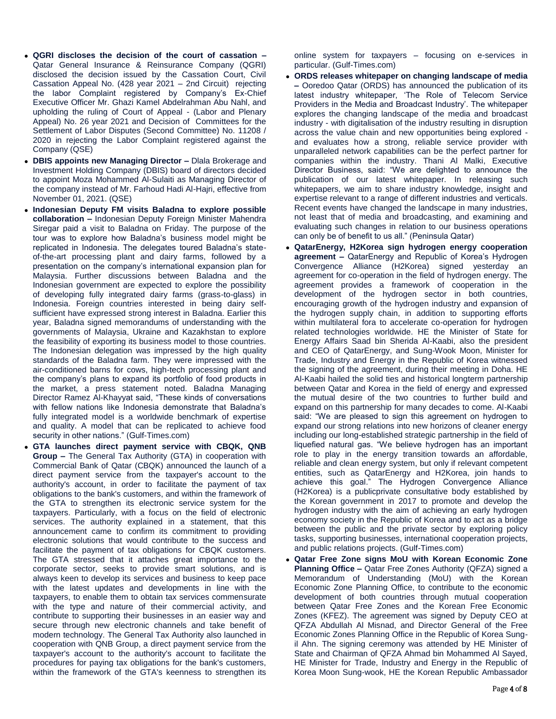- **QGRI discloses the decision of the court of cassation –** Qatar General Insurance & Reinsurance Company (QGRI) disclosed the decision issued by the Cassation Court, Civil Cassation Appeal No. (428 year 2021 – 2nd Circuit) rejecting the labor Complaint registered by Company's Ex-Chief Executive Officer Mr. Ghazi Kamel Abdelrahman Abu Nahl, and upholding the ruling of Court of Appeal - (Labor and Plenary Appeal) No. 26 year 2021 and Decision of Committees for the Settlement of Labor Disputes (Second Committee) No. 11208 / 2020 in rejecting the Labor Complaint registered against the Company (QSE)
- **DBIS appoints new Managing Director –** Dlala Brokerage and Investment Holding Company (DBIS) board of directors decided to appoint Moza Mohammed Al-Sulaiti as Managing Director of the company instead of Mr. Farhoud Hadi Al-Hajri, effective from November 01, 2021. (QSE)
- **Indonesian Deputy FM visits Baladna to explore possible collaboration –** Indonesian Deputy Foreign Minister Mahendra Siregar paid a visit to Baladna on Friday. The purpose of the tour was to explore how Baladna's business model might be replicated in Indonesia. The delegates toured Baladna's stateof-the-art processing plant and dairy farms, followed by a presentation on the company's international expansion plan for Malaysia. Further discussions between Baladna and the Indonesian government are expected to explore the possibility of developing fully integrated dairy farms (grass-to-glass) in Indonesia. Foreign countries interested in being dairy selfsufficient have expressed strong interest in Baladna. Earlier this year, Baladna signed memorandums of understanding with the governments of Malaysia, Ukraine and Kazakhstan to explore the feasibility of exporting its business model to those countries. The Indonesian delegation was impressed by the high quality standards of the Baladna farm. They were impressed with the air-conditioned barns for cows, high-tech processing plant and the company's plans to expand its portfolio of food products in the market, a press statement noted. Baladna Managing Director Ramez Al-Khayyat said, "These kinds of conversations with fellow nations like Indonesia demonstrate that Baladna's fully integrated model is a worldwide benchmark of expertise and quality. A model that can be replicated to achieve food security in other nations." (Gulf-Times.com)
- **GTA launches direct payment service with CBQK, QNB Group –** The General Tax Authority (GTA) in cooperation with Commercial Bank of Qatar (CBQK) announced the launch of a direct payment service from the taxpayer's account to the authority's account, in order to facilitate the payment of tax obligations to the bank's customers, and within the framework of the GTA to strengthen its electronic service system for the taxpayers. Particularly, with a focus on the field of electronic services. The authority explained in a statement, that this announcement came to confirm its commitment to providing electronic solutions that would contribute to the success and facilitate the payment of tax obligations for CBQK customers. The GTA stressed that it attaches great importance to the corporate sector, seeks to provide smart solutions, and is always keen to develop its services and business to keep pace with the latest updates and developments in line with the taxpayers, to enable them to obtain tax services commensurate with the type and nature of their commercial activity, and contribute to supporting their businesses in an easier way and secure through new electronic channels and take benefit of modern technology. The General Tax Authority also launched in cooperation with QNB Group, a direct payment service from the taxpayer's account to the authority's account to facilitate the procedures for paying tax obligations for the bank's customers, within the framework of the GTA's keenness to strengthen its

online system for taxpayers – focusing on e-services in particular. (Gulf-Times.com)

- **ORDS releases whitepaper on changing landscape of media –** Ooredoo Qatar (ORDS) has announced the publication of its latest industry whitepaper, 'The Role of Telecom Service Providers in the Media and Broadcast Industry'. The whitepaper explores the changing landscape of the media and broadcast industry - with digitalisation of the industry resulting in disruption across the value chain and new opportunities being explored and evaluates how a strong, reliable service provider with unparalleled network capabilities can be the perfect partner for companies within the industry. Thani Al Malki, Executive Director Business, said: "We are delighted to announce the publication of our latest whitepaper. In releasing such whitepapers, we aim to share industry knowledge, insight and expertise relevant to a range of different industries and verticals. Recent events have changed the landscape in many industries, not least that of media and broadcasting, and examining and evaluating such changes in relation to our business operations can only be of benefit to us all." (Peninsula Qatar)
- **QatarEnergy, H2Korea sign hydrogen energy cooperation agreement –** QatarEnergy and Republic of Korea's Hydrogen Convergence Alliance (H2Korea) signed yesterday an agreement for co-operation in the field of hydrogen energy. The agreement provides a framework of cooperation in the development of the hydrogen sector in both countries, encouraging growth of the hydrogen industry and expansion of the hydrogen supply chain, in addition to supporting efforts within multilateral fora to accelerate co-operation for hydrogen related technologies worldwide. HE the Minister of State for Energy Affairs Saad bin Sherida Al-Kaabi, also the president and CEO of QatarEnergy, and Sung-Wook Moon, Minister for Trade, Industry and Energy in the Republic of Korea witnessed the signing of the agreement, during their meeting in Doha. HE Al-Kaabi hailed the solid ties and historical longterm partnership between Qatar and Korea in the field of energy and expressed the mutual desire of the two countries to further build and expand on this partnership for many decades to come. Al-Kaabi said: "We are pleased to sign this agreement on hydrogen to expand our strong relations into new horizons of cleaner energy including our long-established strategic partnership in the field of liquefied natural gas. "We believe hydrogen has an important role to play in the energy transition towards an affordable, reliable and clean energy system, but only if relevant competent entities, such as QatarEnergy and H2Korea, join hands to achieve this goal." The Hydrogen Convergence Alliance (H2Korea) is a publicprivate consultative body established by the Korean government in 2017 to promote and develop the hydrogen industry with the aim of achieving an early hydrogen economy society in the Republic of Korea and to act as a bridge between the public and the private sector by exploring policy tasks, supporting businesses, international cooperation projects, and public relations projects. (Gulf-Times.com)
- **Qatar Free Zone signs MoU with Korean Economic Zone Planning Office –** Qatar Free Zones Authority (QFZA) signed a Memorandum of Understanding (MoU) with the Korean Economic Zone Planning Office, to contribute to the economic development of both countries through mutual cooperation between Qatar Free Zones and the Korean Free Economic Zones (KFEZ). The agreement was signed by Deputy CEO at QFZA Abdullah Al Misnad, and Director General of the Free Economic Zones Planning Office in the Republic of Korea Sungil Ahn. The signing ceremony was attended by HE Minister of State and Chairman of QFZA Ahmad bin Mohammed Al Sayed, HE Minister for Trade, Industry and Energy in the Republic of Korea Moon Sung-wook, HE the Korean Republic Ambassador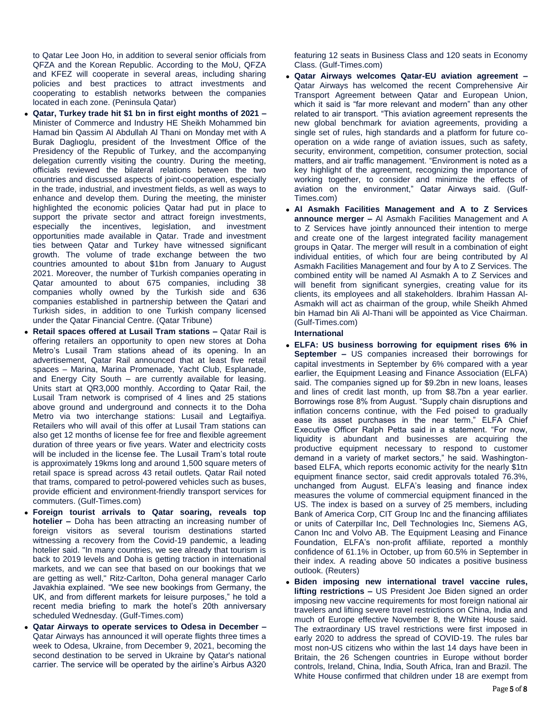to Qatar Lee Joon Ho, in addition to several senior officials from QFZA and the Korean Republic. According to the MoU, QFZA and KFEZ will cooperate in several areas, including sharing policies and best practices to attract investments and cooperating to establish networks between the companies located in each zone. (Peninsula Qatar)

- **Qatar, Turkey trade hit \$1 bn in first eight months of 2021 –** Minister of Commerce and Industry HE Sheikh Mohammed bin Hamad bin Qassim Al Abdullah Al Thani on Monday met with A Burak Daglıoglu, president of the Investment Office of the Presidency of the Republic of Turkey, and the accompanying delegation currently visiting the country. During the meeting, officials reviewed the bilateral relations between the two countries and discussed aspects of joint-cooperation, especially in the trade, industrial, and investment fields, as well as ways to enhance and develop them. During the meeting, the minister highlighted the economic policies Qatar had put in place to support the private sector and attract foreign investments, especially the incentives, legislation, and investment opportunities made available in Qatar. Trade and investment ties between Qatar and Turkey have witnessed significant growth. The volume of trade exchange between the two countries amounted to about \$1bn from January to August 2021. Moreover, the number of Turkish companies operating in Qatar amounted to about 675 companies, including 38 companies wholly owned by the Turkish side and 636 companies established in partnership between the Qatari and Turkish sides, in addition to one Turkish company licensed under the Qatar Financial Centre. (Qatar Tribune)
- **Retail spaces offered at Lusail Tram stations –** Qatar Rail is offering retailers an opportunity to open new stores at Doha Metro's Lusail Tram stations ahead of its opening. In an advertisement, Qatar Rail announced that at least five retail spaces – Marina, Marina Promenade, Yacht Club, Esplanade, and Energy City South – are currently available for leasing. Units start at QR3,000 monthly. According to Qatar Rail, the Lusail Tram network is comprised of 4 lines and 25 stations above ground and underground and connects it to the Doha Metro via two interchange stations: Lusail and Legtaifiya. Retailers who will avail of this offer at Lusail Tram stations can also get 12 months of license fee for free and flexible agreement duration of three years or five years. Water and electricity costs will be included in the license fee. The Lusail Tram's total route is approximately 19kms long and around 1,500 square meters of retail space is spread across 43 retail outlets. Qatar Rail noted that trams, compared to petrol-powered vehicles such as buses, provide efficient and environment-friendly transport services for commuters. (Gulf-Times.com)
- **Foreign tourist arrivals to Qatar soaring, reveals top hotelier –** Doha has been attracting an increasing number of foreign visitors as several tourism destinations started witnessing a recovery from the Covid-19 pandemic, a leading hotelier said. "In many countries, we see already that tourism is back to 2019 levels and Doha is getting traction in international markets, and we can see that based on our bookings that we are getting as well," Ritz-Carlton, Doha general manager Carlo Javakhia explained. "We see new bookings from Germany, the UK, and from different markets for leisure purposes," he told a recent media briefing to mark the hotel's 20th anniversary scheduled Wednesday. (Gulf-Times.com)
- **Qatar Airways to operate services to Odesa in December –** Qatar Airways has announced it will operate flights three times a week to Odesa, Ukraine, from December 9, 2021, becoming the second destination to be served in Ukraine by Qatar's national carrier. The service will be operated by the airline's Airbus A320

featuring 12 seats in Business Class and 120 seats in Economy Class. (Gulf-Times.com)

- **Qatar Airways welcomes Qatar-EU aviation agreement –** Qatar Airways has welcomed the recent Comprehensive Air Transport Agreement between Qatar and European Union, which it said is "far more relevant and modern" than any other related to air transport. "This aviation agreement represents the new global benchmark for aviation agreements, providing a single set of rules, high standards and a platform for future cooperation on a wide range of aviation issues, such as safety, security, environment, competition, consumer protection, social matters, and air traffic management. "Environment is noted as a key highlight of the agreement, recognizing the importance of working together, to consider and minimize the effects of aviation on the environment," Qatar Airways said. (Gulf-Times.com)
- **Al Asmakh Facilities Management and A to Z Services announce merger –** Al Asmakh Facilities Management and A to Z Services have jointly announced their intention to merge and create one of the largest integrated facility management groups in Qatar. The merger will result in a combination of eight individual entities, of which four are being contributed by Al Asmakh Facilities Management and four by A to Z Services. The combined entity will be named Al Asmakh A to Z Services and will benefit from significant synergies, creating value for its clients, its employees and all stakeholders. Ibrahim Hassan Al-Asmakh will act as chairman of the group, while Sheikh Ahmed bin Hamad bin Ali Al-Thani will be appointed as Vice Chairman. (Gulf-Times.com)

#### **International**

- **ELFA: US business borrowing for equipment rises 6% in September –** US companies increased their borrowings for capital investments in September by 6% compared with a year earlier, the Equipment Leasing and Finance Association (ELFA) said. The companies signed up for \$9.2bn in new loans, leases and lines of credit last month, up from \$8.7bn a year earlier. Borrowings rose 8% from August. "Supply chain disruptions and inflation concerns continue, with the Fed poised to gradually ease its asset purchases in the near term," ELFA Chief Executive Officer Ralph Petta said in a statement. "For now, liquidity is abundant and businesses are acquiring the productive equipment necessary to respond to customer demand in a variety of market sectors," he said. Washingtonbased ELFA, which reports economic activity for the nearly \$1tn equipment finance sector, said credit approvals totaled 76.3%, unchanged from August. ELFA's leasing and finance index measures the volume of commercial equipment financed in the US. The index is based on a survey of 25 members, including Bank of America Corp, CIT Group Inc and the financing affiliates or units of Caterpillar Inc, Dell Technologies Inc, Siemens AG, Canon Inc and Volvo AB. The Equipment Leasing and Finance Foundation, ELFA's non-profit affiliate, reported a monthly confidence of 61.1% in October, up from 60.5% in September in their index. A reading above 50 indicates a positive business outlook. (Reuters)
- **Biden imposing new international travel vaccine rules, lifting restrictions –** US President Joe Biden signed an order imposing new vaccine requirements for most foreign national air travelers and lifting severe travel restrictions on China, India and much of Europe effective November 8, the White House said. The extraordinary US travel restrictions were first imposed in early 2020 to address the spread of COVID-19. The rules bar most non-US citizens who within the last 14 days have been in Britain, the 26 Schengen countries in Europe without border controls, Ireland, China, India, South Africa, Iran and Brazil. The White House confirmed that children under 18 are exempt from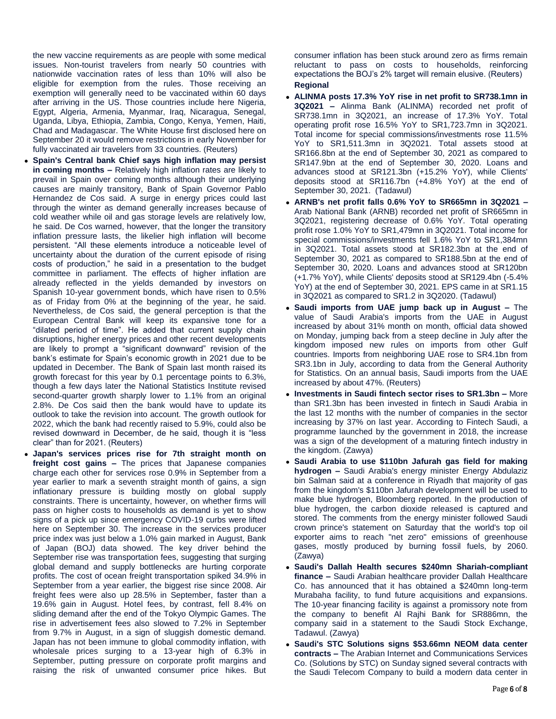the new vaccine requirements as are people with some medical issues. Non-tourist travelers from nearly 50 countries with nationwide vaccination rates of less than 10% will also be eligible for exemption from the rules. Those receiving an exemption will generally need to be vaccinated within 60 days after arriving in the US. Those countries include here Nigeria, Egypt, Algeria, Armenia, Myanmar, Iraq, Nicaragua, Senegal, Uganda, Libya, Ethiopia, Zambia, Congo, Kenya, Yemen, Haiti, Chad and Madagascar. The White House first disclosed here on September 20 it would remove restrictions in early November for fully vaccinated air travelers from 33 countries. (Reuters)

- **Spain's Central bank Chief says high inflation may persist in coming months –** Relatively high inflation rates are likely to prevail in Spain over coming months although their underlying causes are mainly transitory, Bank of Spain Governor Pablo Hernandez de Cos said. A surge in energy prices could last through the winter as demand generally increases because of cold weather while oil and gas storage levels are relatively low, he said. De Cos warned, however, that the longer the transitory inflation pressure lasts, the likelier high inflation will become persistent. "All these elements introduce a noticeable level of uncertainty about the duration of the current episode of rising costs of production," he said in a presentation to the budget committee in parliament. The effects of higher inflation are already reflected in the yields demanded by investors on Spanish 10-year government bonds, which have risen to 0.5% as of Friday from 0% at the beginning of the year, he said. Nevertheless, de Cos said, the general perception is that the European Central Bank will keep its expansive tone for a "dilated period of time". He added that current supply chain disruptions, higher energy prices and other recent developments are likely to prompt a "significant downward" revision of the bank's estimate for Spain's economic growth in 2021 due to be updated in December. The Bank of Spain last month raised its growth forecast for this year by 0.1 percentage points to 6.3%, though a few days later the National Statistics Institute revised second-quarter growth sharply lower to 1.1% from an original 2.8%. De Cos said then the bank would have to update its outlook to take the revision into account. The growth outlook for 2022, which the bank had recently raised to 5.9%, could also be revised downward in December, de he said, though it is "less clear" than for 2021. (Reuters)
- **Japan's services prices rise for 7th straight month on freight cost gains –** The prices that Japanese companies charge each other for services rose 0.9% in September from a year earlier to mark a seventh straight month of gains, a sign inflationary pressure is building mostly on global supply constraints. There is uncertainty, however, on whether firms will pass on higher costs to households as demand is yet to show signs of a pick up since emergency COVID-19 curbs were lifted here on September 30. The increase in the services producer price index was just below a 1.0% gain marked in August, Bank of Japan (BOJ) data showed. The key driver behind the September rise was transportation fees, suggesting that surging global demand and supply bottlenecks are hurting corporate profits. The cost of ocean freight transportation spiked 34.9% in September from a year earlier, the biggest rise since 2008. Air freight fees were also up 28.5% in September, faster than a 19.6% gain in August. Hotel fees, by contrast, fell 8.4% on sliding demand after the end of the Tokyo Olympic Games. The rise in advertisement fees also slowed to 7.2% in September from 9.7% in August, in a sign of sluggish domestic demand. Japan has not been immune to global commodity inflation, with wholesale prices surging to a 13-year high of 6.3% in September, putting pressure on corporate profit margins and raising the risk of unwanted consumer price hikes. But

consumer inflation has been stuck around zero as firms remain reluctant to pass on costs to households, reinforcing expectations the BOJ's 2% target will remain elusive. (Reuters) **Regional**

- **ALINMA posts 17.3% YoY rise in net profit to SR738.1mn in 3Q2021 –** Alinma Bank (ALINMA) recorded net profit of SR738.1mn in 3Q2021, an increase of 17.3% YoY. Total operating profit rose 16.5% YoY to SR1,723.7mn in 3Q2021. Total income for special commissions/investments rose 11.5% YoY to SR1,511.3mn in 3Q2021. Total assets stood at SR166.8bn at the end of September 30, 2021 as compared to SR147.9bn at the end of September 30, 2020. Loans and advances stood at SR121.3bn (+15.2% YoY), while Clients' deposits stood at SR116.7bn (+4.8% YoY) at the end of September 30, 2021. (Tadawul)
- **ARNB's net profit falls 0.6% YoY to SR665mn in 3Q2021 –** Arab National Bank (ARNB) recorded net profit of SR665mn in 3Q2021, registering decrease of 0.6% YoY. Total operating profit rose 1.0% YoY to SR1,479mn in 3Q2021. Total income for special commissions/investments fell 1.6% YoY to SR1,384mn in 3Q2021. Total assets stood at SR182.3bn at the end of September 30, 2021 as compared to SR188.5bn at the end of September 30, 2020. Loans and advances stood at SR120bn (+1.7% YoY), while Clients' deposits stood at SR129.4bn (-5.4% YoY) at the end of September 30, 2021. EPS came in at SR1.15 in 3Q2021 as compared to SR1.2 in 3Q2020. (Tadawul)
- **Saudi imports from UAE jump back up in August –** The value of Saudi Arabia's imports from the UAE in August increased by about 31% month on month, official data showed on Monday, jumping back from a steep decline in July after the kingdom imposed new rules on imports from other Gulf countries. Imports from neighboring UAE rose to SR4.1bn from SR3.1bn in July, according to data from the General Authority for Statistics. On an annual basis, Saudi imports from the UAE increased by about 47%. (Reuters)
- **Investments in Saudi fintech sector rises to SR1.3bn –** More than SR1.3bn has been invested in fintech in Saudi Arabia in the last 12 months with the number of companies in the sector increasing by 37% on last year. According to Fintech Saudi, a programme launched by the government in 2018, the increase was a sign of the development of a maturing fintech industry in the kingdom. (Zawya)
- **Saudi Arabia to use \$110bn Jafurah gas field for making hydrogen –** Saudi Arabia's energy minister Energy Abdulaziz bin Salman said at a conference in Riyadh that majority of gas from the kingdom's \$110bn Jafurah development will be used to make blue hydrogen, Bloomberg reported. In the production of blue hydrogen, the carbon dioxide released is captured and stored. The comments from the energy minister followed Saudi crown prince's statement on Saturday that the world's top oil exporter aims to reach "net zero" emissions of greenhouse gases, mostly produced by burning fossil fuels, by 2060. (Zawya)
- **Saudi's Dallah Health secures \$240mn Shariah-compliant finance –** Saudi Arabian healthcare provider Dallah Healthcare Co. has announced that it has obtained a \$240mn long-term Murabaha facility, to fund future acquisitions and expansions. The 10-year financing facility is against a promissory note from the company to benefit Al Rajhi Bank for SR886mn, the company said in a statement to the Saudi Stock Exchange, Tadawul. (Zawya)
- **Saudi's STC Solutions signs \$53.66mn NEOM data center contracts –** The Arabian Internet and Communications Services Co. (Solutions by STC) on Sunday signed several contracts with the Saudi Telecom Company to build a modern data center in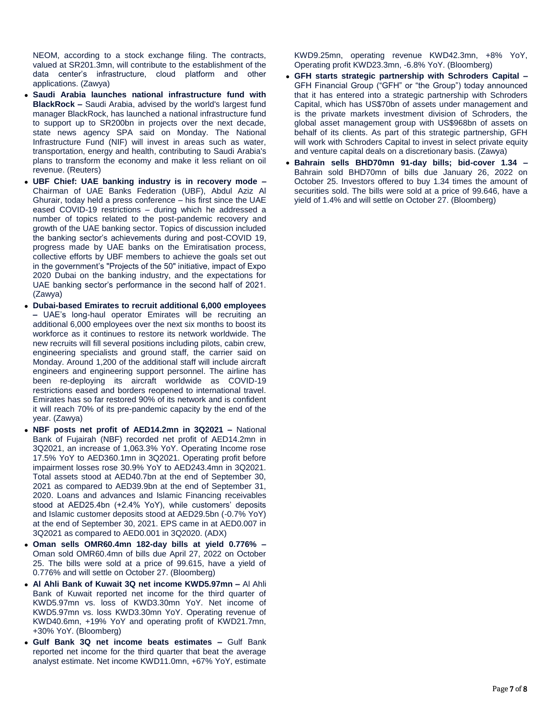NEOM, according to a stock exchange filing. The contracts, valued at SR201.3mn, will contribute to the establishment of the data center's infrastructure, cloud platform and other applications. (Zawya)

- **Saudi Arabia launches national infrastructure fund with BlackRock –** Saudi Arabia, advised by the world's largest fund manager BlackRock, has launched a national infrastructure fund to support up to SR200bn in projects over the next decade, state news agency SPA said on Monday. The National Infrastructure Fund (NIF) will invest in areas such as water, transportation, energy and health, contributing to Saudi Arabia's plans to transform the economy and make it less reliant on oil revenue. (Reuters)
- **UBF Chief: UAE banking industry is in recovery mode –** Chairman of UAE Banks Federation (UBF), Abdul Aziz Al Ghurair, today held a press conference – his first since the UAE eased COVID-19 restrictions – during which he addressed a number of topics related to the post-pandemic recovery and growth of the UAE banking sector. Topics of discussion included the banking sector's achievements during and post-COVID 19, progress made by UAE banks on the Emiratisation process, collective efforts by UBF members to achieve the goals set out in the government's "Projects of the 50" initiative, impact of Expo 2020 Dubai on the banking industry, and the expectations for UAE banking sector's performance in the second half of 2021. (Zawya)
- **Dubai-based Emirates to recruit additional 6,000 employees –** UAE's long-haul operator Emirates will be recruiting an additional 6,000 employees over the next six months to boost its workforce as it continues to restore its network worldwide. The new recruits will fill several positions including pilots, cabin crew, engineering specialists and ground staff, the carrier said on Monday. Around 1,200 of the additional staff will include aircraft engineers and engineering support personnel. The airline has been re-deploying its aircraft worldwide as COVID-19 restrictions eased and borders reopened to international travel. Emirates has so far restored 90% of its network and is confident it will reach 70% of its pre-pandemic capacity by the end of the year. (Zawya)
- **NBF posts net profit of AED14.2mn in 3Q2021 –** National Bank of Fujairah (NBF) recorded net profit of AED14.2mn in 3Q2021, an increase of 1,063.3% YoY. Operating Income rose 17.5% YoY to AED360.1mn in 3Q2021. Operating profit before impairment losses rose 30.9% YoY to AED243.4mn in 3Q2021. Total assets stood at AED40.7bn at the end of September 30, 2021 as compared to AED39.9bn at the end of September 31, 2020. Loans and advances and Islamic Financing receivables stood at AED25.4bn (+2.4% YoY), while customers' deposits and Islamic customer deposits stood at AED29.5bn (-0.7% YoY) at the end of September 30, 2021. EPS came in at AED0.007 in 3Q2021 as compared to AED0.001 in 3Q2020. (ADX)
- **Oman sells OMR60.4mn 182-day bills at yield 0.776% –** Oman sold OMR60.4mn of bills due April 27, 2022 on October 25. The bills were sold at a price of 99.615, have a yield of 0.776% and will settle on October 27. (Bloomberg)
- **Al Ahli Bank of Kuwait 3Q net income KWD5.97mn –** Al Ahli Bank of Kuwait reported net income for the third quarter of KWD5.97mn vs. loss of KWD3.30mn YoY. Net income of KWD5.97mn vs. loss KWD3.30mn YoY. Operating revenue of KWD40.6mn, +19% YoY and operating profit of KWD21.7mn, +30% YoY. (Bloomberg)
- **Gulf Bank 3Q net income beats estimates –** Gulf Bank reported net income for the third quarter that beat the average analyst estimate. Net income KWD11.0mn, +67% YoY, estimate

KWD9.25mn, operating revenue KWD42.3mn, +8% YoY, Operating profit KWD23.3mn, -6.8% YoY. (Bloomberg)

- **GFH starts strategic partnership with Schroders Capital –** GFH Financial Group ("GFH" or "the Group") today announced that it has entered into a strategic partnership with Schroders Capital, which has US\$70bn of assets under management and is the private markets investment division of Schroders, the global asset management group with US\$968bn of assets on behalf of its clients. As part of this strategic partnership, GFH will work with Schroders Capital to invest in select private equity and venture capital deals on a discretionary basis. (Zawya)
- **Bahrain sells BHD70mn 91-day bills; bid-cover 1.34 –** Bahrain sold BHD70mn of bills due January 26, 2022 on October 25. Investors offered to buy 1.34 times the amount of securities sold. The bills were sold at a price of 99.646, have a yield of 1.4% and will settle on October 27. (Bloomberg)